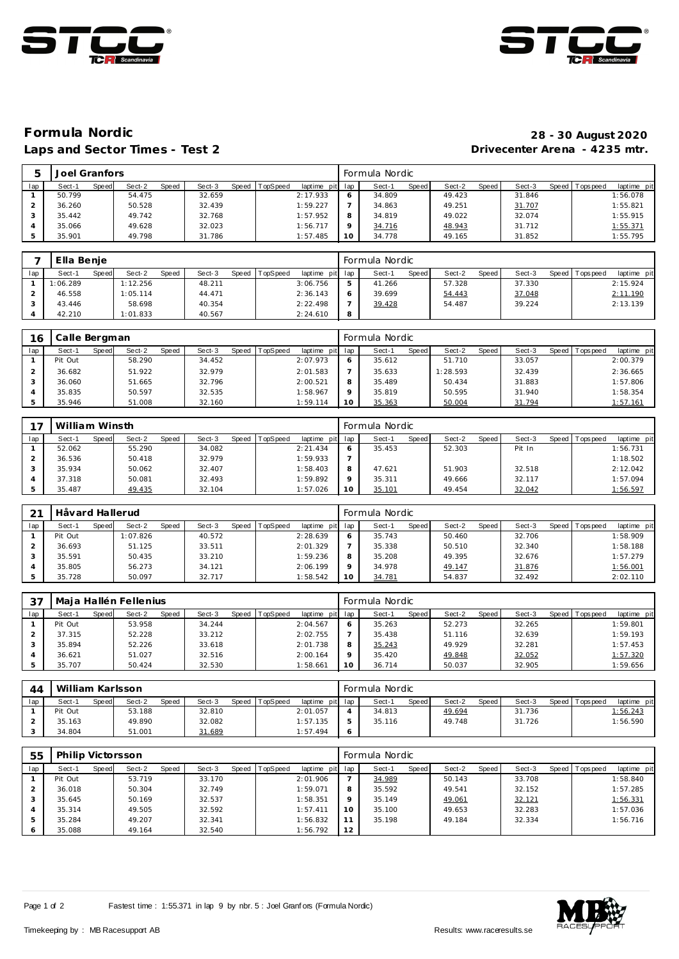



## Laps and Sector Times - Test 2

## **Formula Nordic 28 - 30 August 2020**

|     | Joel Granfors   |                 |        |                               |         | Formula Nordic  |                 |        |                                |
|-----|-----------------|-----------------|--------|-------------------------------|---------|-----------------|-----------------|--------|--------------------------------|
| lap | Speed<br>Sect-1 | Sect-2<br>Speed | Sect-3 | laptime pit<br>Speed TopSpeed | lap     | Speed<br>Sect-1 | Sect-2<br>Speed | Sect-3 | laptime pit<br>Speed Tops peed |
|     | 50.799          | 54.475          | 32.659 | 2:17.933                      | O       | 34.809          | 49.423          | 31.846 | 1:56.078                       |
|     | 36.260          | 50.528          | 32.439 | 1:59.227                      |         | 34.863          | 49.251          | 31.707 | 1:55.821                       |
|     | 35.442          | 49.742          | 32.768 | 1:57.952                      | 8       | 34.819          | 49.022          | 32.074 | 1:55.915                       |
|     | 35.066          | 49.628          | 32.023 | 1:56.717                      | $\circ$ | 34.716          | 48.943          | 31.712 | 1:55.371                       |
|     | 35.901          | 49.798          | 31.786 | 1:57.485                      | 10      | 34.778          | 49.165          | 31.852 | 1:55.795                       |

|     | Ella Benie |       |          |       |        |                |             |              | Formula Nordic |       |        |       |        |                 |             |
|-----|------------|-------|----------|-------|--------|----------------|-------------|--------------|----------------|-------|--------|-------|--------|-----------------|-------------|
| lap | Sect-1     | Speed | Sect-2   | Speed | Sect-3 | Speed TopSpeed | laptime pit | lap          | Sect-1         | Speed | Sect-2 | Speed | Sect-3 | Speed Tops peed | laptime pit |
|     | 1:06.289   |       | 1:12.256 |       | 48.211 |                | 3:06.756    | ь            | 41.266         |       | 57.328 |       | 37.330 |                 | 2:15.924    |
|     | 46.558     |       | 1:05.114 |       | 44.471 |                | 2:36.143    | <sub>o</sub> | 39.699         |       | 54.443 |       | 37.048 |                 | 2:11.190    |
|     | 43.446     |       | 58.698   |       | 40.354 |                | 2:22.498    |              | 39.428         |       | 54.487 |       | 39.224 |                 | 2:13.139    |
|     | 42.210     |       | 1:01.833 |       | 40.567 |                | 2:24.610    | 8            |                |       |        |       |        |                 |             |

| 16  | Calle Bergman |       |        |       |        |                |                 |                 | Formula Nordic |              |          |       |        |                 |             |
|-----|---------------|-------|--------|-------|--------|----------------|-----------------|-----------------|----------------|--------------|----------|-------|--------|-----------------|-------------|
| lap | Sect-1        | Speed | Sect-2 | Speed | Sect-3 | Speed TopSpeed | laptime pit lap |                 | Sect-1         | <b>Speed</b> | Sect-2   | Speed | Sect-3 | Speed Tops peed | laptime pit |
|     | Pit Out       |       | 58.290 |       | 34.452 |                | 2:07.973        | 6               | 35.612         |              | 51.710   |       | 33.057 |                 | 2:00.379    |
|     | 36.682        |       | 51.922 |       | 32.979 |                | 2:01.583        |                 | 35.633         |              | 1:28.593 |       | 32.439 |                 | 2:36.665    |
|     | 36.060        |       | 51.665 |       | 32.796 |                | 2:00.521        | 8               | 35.489         |              | 50.434   |       | 31.883 |                 | 1:57.806    |
|     | 35.835        |       | 50.597 |       | 32.535 |                | 1:58.967        | $\circ$         | 35.819         |              | 50.595   |       | 31.940 |                 | 1:58.354    |
|     | 35.946        |       | 51.008 |       | 32.160 |                | 1:59.114        | 10 <sup>°</sup> | 35.363         |              | 50.004   |       | 31.794 |                 | 1:57.161    |

|     | William Winsth |       |        |       |        |                |             |                 | Formula Nordic |       |        |       |        |                 |             |
|-----|----------------|-------|--------|-------|--------|----------------|-------------|-----------------|----------------|-------|--------|-------|--------|-----------------|-------------|
| lap | Sect-1         | Speed | Sect-2 | Speed | Sect-3 | Speed TopSpeed | laptime pit | lap             | Sect-1         | Speed | Sect-2 | Speed | Sect-3 | Speed Tops peed | laptime pit |
|     | 52.062         |       | 55.290 |       | 34.082 |                | 2: 21.434   | 6               | 35.453         |       | 52.303 |       | Pit In |                 | 1:56.731    |
|     | 36.536         |       | 50.418 |       | 32.979 |                | 1:59.933    |                 |                |       |        |       |        |                 | 1:18.502    |
|     | 35.934         |       | 50.062 |       | 32.407 |                | 1:58.403    | 8               | 47.621         |       | 51.903 |       | 32.518 |                 | 2:12.042    |
|     | 37.318         |       | 50.081 |       | 32.493 |                | 1:59.892    | $\circ$         | 35.311         |       | 49.666 |       | 32.117 |                 | 1:57.094    |
|     | 35.487         |       | 49.435 |       | 32.104 |                | 1:57.026    | 10 <sup>°</sup> | 35.101         |       | 49.454 |       | 32.042 |                 | 1:56.597    |

| 21  | Håvard Hallerud |       |          |       |        |       |                 |                 |    | Formula Nordic |       |        |       |        |                 |             |
|-----|-----------------|-------|----------|-------|--------|-------|-----------------|-----------------|----|----------------|-------|--------|-------|--------|-----------------|-------------|
| lap | Sect-1          | Speed | Sect-2   | Speed | Sect-3 | Speed | <b>TopSpeed</b> | laptime pit lap |    | Sect-1         | Speed | Sect-2 | Speed | Sect-3 | Speed Tops peed | laptime pit |
|     | Pit Out         |       | 1:07.826 |       | 40.572 |       |                 | 2:28.639        |    | 35.743         |       | 50.460 |       | 32.706 |                 | 1:58.909    |
|     | 36.693          |       | 51.125   |       | 33.511 |       |                 | 2:01.329        |    | 35.338         |       | 50.510 |       | 32.340 |                 | 1:58.188    |
|     | 35.591          |       | 50.435   |       | 33.210 |       |                 | 1:59.236        | 8  | 35.208         |       | 49.395 |       | 32.676 |                 | 1:57.279    |
|     | 35.805          |       | 56.273   |       | 34.121 |       |                 | 2:06.199        |    | 34.978         |       | 49.147 |       | 31.876 |                 | 1:56.001    |
|     | 35.728          |       | 50.097   |       | 32.717 |       |                 | 1:58.542        | 10 | 34.781         |       | 54.837 |       | 32.492 |                 | 2:02.110    |

| 37  |         |       | Maia Hallén Fellenius |       |        |                  |                 |         | Formula Nordic |       |        |       |        |                   |             |
|-----|---------|-------|-----------------------|-------|--------|------------------|-----------------|---------|----------------|-------|--------|-------|--------|-------------------|-------------|
| lap | Sect-1  | Speed | Sect-2                | Speed | Sect-3 | Speed   TopSpeed | laptime pit lap |         | Sect-1         | Speed | Sect-2 | Speed | Sect-3 | Speed   Tops peed | laptime pit |
|     | Pit Out |       | 53.958                |       | 34.244 |                  | 2:04.567        | 6       | 35.263         |       | 52.273 |       | 32.265 |                   | 1:59.801    |
|     | 37.315  |       | 52.228                |       | 33.212 |                  | 2:02.755        |         | 35.438         |       | 51.116 |       | 32.639 |                   | 1:59.193    |
|     | 35.894  |       | 52.226                |       | 33.618 |                  | 2:01.738        | 8       | 35.243         |       | 49.929 |       | 32.281 |                   | 1:57.453    |
|     | 36.621  |       | 51.027                |       | 32.516 |                  | 2:00.164        | $\circ$ | 35.420         |       | 49.848 |       | 32.052 |                   | 1:57.320    |
|     | 35.707  |       | 50.424                |       | 32.530 |                  | 1:58.661        | 10      | 36.714         |       | 50.037 |       | 32.905 |                   | 1:59.656    |

| 44  | William Karlsson |              |        |       |        |                |                 | Formula Nordic |       |        |       |        |                 |             |
|-----|------------------|--------------|--------|-------|--------|----------------|-----------------|----------------|-------|--------|-------|--------|-----------------|-------------|
| lap | Sect-1           | <b>Speed</b> | Sect-2 | Speed | Sect-3 | Speed TopSpeed | laptime pit lap | Sect-1         | Speed | Sect-2 | Speed | Sect-3 | Speed Tops peed | laptime pit |
|     | Pit Out          |              | 53.188 |       | 32.810 |                | 2:01.057        | 34.813         |       | 49.694 |       | 31.736 |                 | 1:56.243    |
|     | 35.163           |              | 49.890 |       | 32.082 |                | 1:57.135        | 35.116         |       | 49.748 |       | 31.726 |                 | 1:56.590    |
|     | 34.804           |              | 51.001 |       | 31.689 |                | 1:57.494        |                |       |        |       |        |                 |             |

| 55  | Philip Victorsson |       |        |       |        |       |          |             |         | Formula Nordic |       |        |       |        |         |            |             |
|-----|-------------------|-------|--------|-------|--------|-------|----------|-------------|---------|----------------|-------|--------|-------|--------|---------|------------|-------------|
| lap | Sect-1            | Speed | Sect-2 | Speed | Sect-3 | Speed | TopSpeed | laptime pit | lap     | Sect-1         | Speed | Sect-2 | Speed | Sect-3 | Speed I | T ops peed | laptime pit |
|     | Pit Out           |       | 53.719 |       | 33.170 |       |          | 2:01.906    |         | 34.989         |       | 50.143 |       | 33.708 |         |            | 1:58.840    |
|     | 36.018            |       | 50.304 |       | 32.749 |       |          | 1:59.071    | 8       | 35.592         |       | 49.541 |       | 32.152 |         |            | 1:57.285    |
|     | 35.645            |       | 50.169 |       | 32.537 |       |          | 1:58.351    | $\circ$ | 35.149         |       | 49.061 |       | 32.121 |         |            | 1:56.331    |
|     | 35.314            |       | 49.505 |       | 32.592 |       |          | 1:57.411    | 10      | 35.100         |       | 49.653 |       | 32.283 |         |            | 1:57.036    |
|     | 35.284            |       | 49.207 |       | 32.341 |       |          | 1:56.832    | 11      | 35.198         |       | 49.184 |       | 32.334 |         |            | 1:56.716    |
|     | 35.088            |       | 49.164 |       | 32.540 |       |          | 1:56.792    | 12      |                |       |        |       |        |         |            |             |